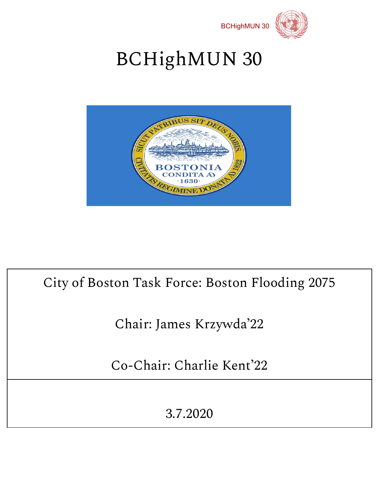



# BCHighMUN 30



## City of Boston Task Force: Boston Flooding 2075

## Chair: James Krzywda '22

Co-Chair: Charlie Kent'22

3.7.2020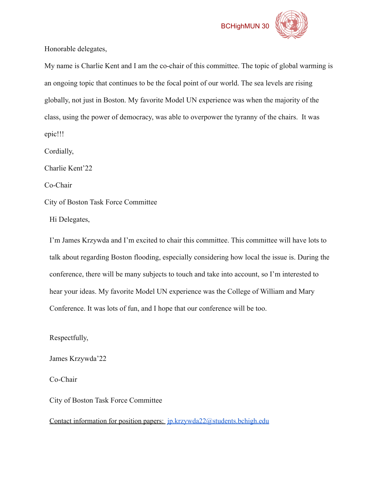

Honorable delegates,

My name is Charlie Kent and I am the co-chair of this committee. The topic of global warming is an ongoing topic that continues to be the focal point of our world. The sea levels are rising globally, not just in Boston. My favorite Model UN experience was when the majority of the class, using the power of democracy, was able to overpower the tyranny of the chairs. It was epic!!!

Cordially,

Charlie Kent'22

Co-Chair

City of Boston Task Force Committee

Hi Delegates,

I'm James Krzywda and I'm excited to chair this committee. This committee will have lots to talk about regarding Boston flooding, especially considering how local the issue is. During the conference, there will be many subjects to touch and take into account, so I'm interested to hear your ideas. My favorite Model UN experience was the College of William and Mary Conference. It was lots of fun, and I hope that our conference will be too.

Respectfully,

James Krzywda'22

Co-Chair

City of Boston Task Force Committee

Contact information for position papers: *[jp.krzywda22@students.bchigh.edu](mailto:jp.krzywda22@students.bchigh.edu)*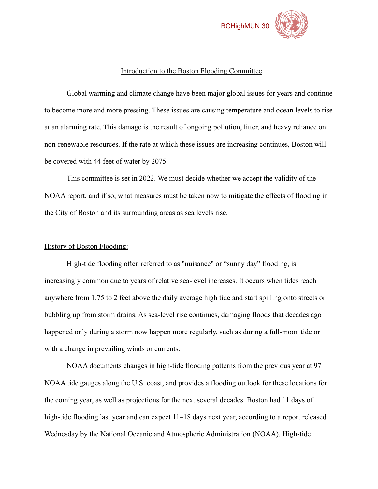

#### Introduction to the Boston Flooding Committee

Global warming and climate change have been major global issues for years and continue to become more and more pressing. These issues are causing temperature and ocean levels to rise at an alarming rate. This damage is the result of ongoing pollution, litter, and heavy reliance on non-renewable resources. If the rate at which these issues are increasing continues, Boston will be covered with 44 feet of water by 2075.

This committee is set in 2022. We must decide whether we accept the validity of the NOAA report, and if so, what measures must be taken now to mitigate the effects of flooding in the City of Boston and its surrounding areas as sea levels rise.

#### History of Boston Flooding:

High-tide flooding often referred to as "nuisance" or "sunny day" flooding, is increasingly common due to years of relative sea-level increases. It occurs when tides reach anywhere from 1.75 to 2 feet above the daily average high tide and start spilling onto streets or bubbling up from storm drains. As sea-level rise continues, damaging floods that decades ago happened only during a storm now happen more regularly, such as during a full-moon tide or with a change in prevailing winds or currents.

NOAA documents changes in high-tide flooding patterns from the previous year at 97 NOAA tide gauges along the U.S. coast, and provides a flooding outlook for these locations for the coming year, as well as projections for the next several decades. Boston had 11 days of high-tide flooding last year and can expect  $11-18$  days next year, according to a report released Wednesday by the National Oceanic and Atmospheric Administration (NOAA). High-tide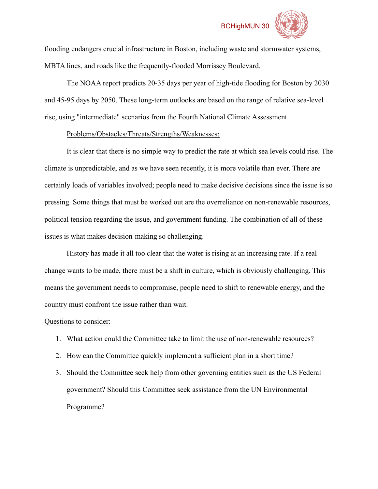#### BCHighMUN 30



flooding endangers crucial infrastructure in Boston, including waste and stormwater systems, MBTA lines, and roads like the frequently-flooded Morrissey Boulevard.

The NOAA report predicts 20-35 days per year of high-tide flooding for Boston by 2030 and 45-95 days by 2050. These long-term outlooks are based on the range of relative sea-level rise, using "intermediate" scenarios from the Fourth National Climate Assessment.

#### Problems/Obstacles/Threats/Strengths/Weaknesses:

It is clear that there is no simple way to predict the rate at which sea levels could rise. The climate is unpredictable, and as we have seen recently, it is more volatile than ever. There are certainly loads of variables involved; people need to make decisive decisions since the issue is so pressing. Some things that must be worked out are the overreliance on non-renewable resources, political tension regarding the issue, and government funding. The combination of all of these issues is what makes decision-making so challenging.

History has made it all too clear that the water is rising at an increasing rate. If a real change wants to be made, there must be a shift in culture, which is obviously challenging. This means the government needs to compromise, people need to shift to renewable energy, and the country must confront the issue rather than wait.

#### Questions to consider:

- 1. What action could the Committee take to limit the use of non-renewable resources?
- 2. How can the Committee quickly implement a sufficient plan in a short time?
- 3. Should the Committee seek help from other governing entities such as the US Federal government? Should this Committee seek assistance from the UN Environmental Programme?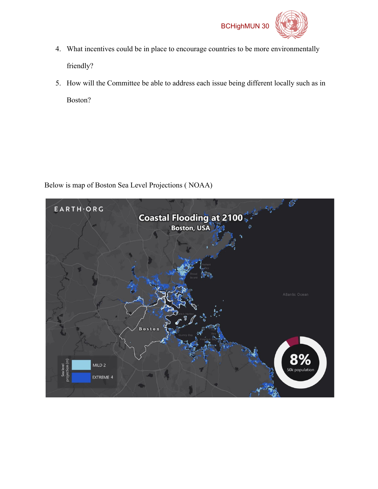



- 4. What incentives could be in place to encourage countries to be more environmentally friendly?
- 5. How will the Committee be able to address each issue being different locally such as in Boston?

Below is map of Boston Sea Level Projections ( NOAA)

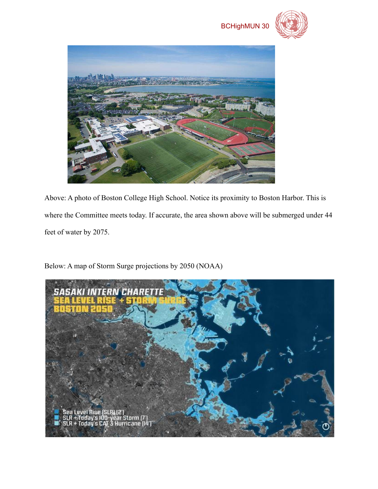



Above: A photo of Boston College High School. Notice its proximity to Boston Harbor. This is where the Committee meets today. If accurate, the area shown above will be submerged under 44 feet of water by 2075.

Below: A map of Storm Surge projections by 2050 (NOAA)

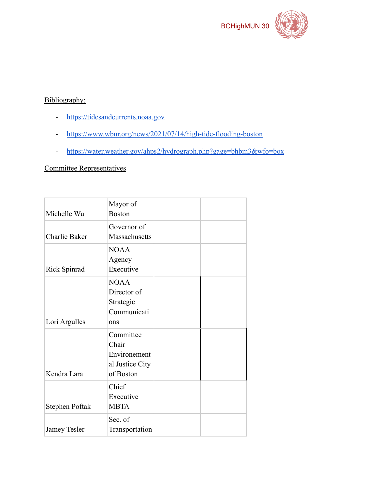

### Bibliography:

- <https://tidesandcurrents.noaa.gov>
- <https://www.wbur.org/news/2021/07/14/high-tide-flooding-boston>
- <https://water.weather.gov/ahps2/hydrograph.php?gage=bhbm3&wfo=box>

#### Committee Representatives

| Michelle Wu    | Mayor of<br><b>Boston</b>                                          |  |
|----------------|--------------------------------------------------------------------|--|
| Charlie Baker  | Governor of<br>Massachusetts                                       |  |
| Rick Spinrad   | <b>NOAA</b><br>Agency<br>Executive                                 |  |
| Lori Argulles  | <b>NOAA</b><br>Director of<br>Strategic<br>Communicati<br>ons      |  |
| Kendra Lara    | Committee<br>Chair<br>Environement<br>al Justice City<br>of Boston |  |
| Stephen Poftak | Chief<br>Executive<br><b>MBTA</b>                                  |  |
| Jamey Tesler   | Sec. of<br>Transportation                                          |  |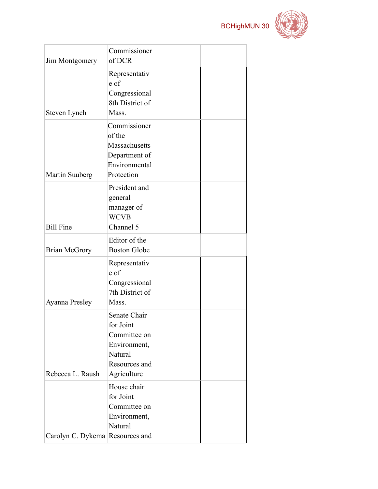

| <b>Jim Montgomery</b>           | Commissioner<br>of DCR                                                                               |  |
|---------------------------------|------------------------------------------------------------------------------------------------------|--|
| Steven Lynch                    | Representativ<br>e of<br>Congressional<br>8th District of<br>Mass.                                   |  |
| Martin Suuberg                  | Commissioner<br>of the<br>Massachusetts<br>Department of<br>Environmental<br>Protection              |  |
| <b>Bill Fine</b>                | President and<br>general<br>manager of<br><b>WCVB</b><br>Channel 5                                   |  |
| <b>Brian McGrory</b>            | Editor of the<br><b>Boston Globe</b>                                                                 |  |
| Ayanna Presley                  | Representativ<br>e of<br>Congressional<br>7th District of<br>Mass.                                   |  |
| Rebecca L. Raush                | Senate Chair<br>for Joint<br>Committee on<br>Environment,<br>Natural<br>Resources and<br>Agriculture |  |
| Carolyn C. Dykema Resources and | House chair<br>for Joint<br>Committee on<br>Environment,<br>Natural                                  |  |